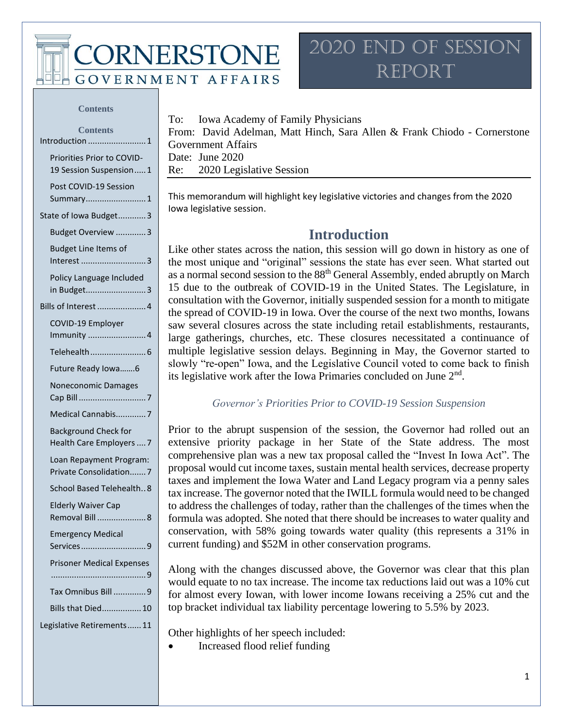**CORNERSTONE** 

**GOVERNMENT AFFAIRS** 

### 2020 End of Session Report

#### **Contents**

| <b>Contents</b>                                         |
|---------------------------------------------------------|
| Introduction 1                                          |
| Priorities Prior to COVID-<br>19 Session Suspension1    |
| Post COVID-19 Session<br>Summary 1                      |
| State of Iowa Budget3                                   |
| Budget Overview 3                                       |
| <b>Budget Line Items of</b><br>Interest 3               |
| Policy Language Included<br>in Budget3                  |
| Bills of Interest  4                                    |
| COVID-19 Employer<br>Immunity 4                         |
|                                                         |
| Future Ready Iowa6                                      |
| Noneconomic Damages                                     |
| Medical Cannabis7                                       |
| <b>Background Check for</b><br>Health Care Employers  7 |
| Loan Repayment Program:<br>Private Consolidation7       |
| School Based Telehealth8                                |
| <b>Elderly Waiver Cap</b><br>Removal Bill 8             |
| <b>Emergency Medical</b><br>Services9                   |
| <b>Prisoner Medical Expenses</b>                        |
|                                                         |
| Tax Omnibus Bill 9                                      |
| Bills that Died 10                                      |
| Legislative Retirements 11                              |

To: Iowa Academy of Family Physicians

From: David Adelman, Matt Hinch, Sara Allen & Frank Chiodo - Cornerstone Government Affairs Date: June 2020 Re: 2020 Legislative Session

This memorandum will highlight key legislative victories and changes from the 2020 Iowa legislative session.

### **Introduction**

Like other states across the nation, this session will go down in history as one of the most unique and "original" sessions the state has ever seen. What started out as a normal second session to the 88<sup>th</sup> General Assembly, ended abruptly on March 15 due to the outbreak of COVID-19 in the United States. The Legislature, in consultation with the Governor, initially suspended session for a month to mitigate the spread of COVID-19 in Iowa. Over the course of the next two months, Iowans saw several closures across the state including retail establishments, restaurants, large gatherings, churches, etc. These closures necessitated a continuance of multiple legislative session delays. Beginning in May, the Governor started to slowly "re-open" Iowa, and the Legislative Council voted to come back to finish its legislative work after the Iowa Primaries concluded on June  $2<sup>nd</sup>$ .

#### *Governor's Priorities Prior to COVID-19 Session Suspension*

Prior to the abrupt suspension of the session, the Governor had rolled out an extensive priority package in her State of the State address. The most comprehensive plan was a new tax proposal called the "Invest In Iowa Act". The proposal would cut income taxes, sustain mental health services, decrease property taxes and implement the Iowa Water and Land Legacy program via a penny sales tax increase. The governor noted that the IWILL formula would need to be changed to address the challenges of today, rather than the challenges of the times when the formula was adopted. She noted that there should be increases to water quality and conservation, with 58% going towards water quality (this represents a 31% in current funding) and \$52M in other conservation programs.

Along with the changes discussed above, the Governor was clear that this plan would equate to no tax increase. The income tax reductions laid out was a 10% cut for almost every Iowan, with lower income Iowans receiving a 25% cut and the top bracket individual tax liability percentage lowering to 5.5% by 2023.

Other highlights of her speech included:

• Increased flood relief funding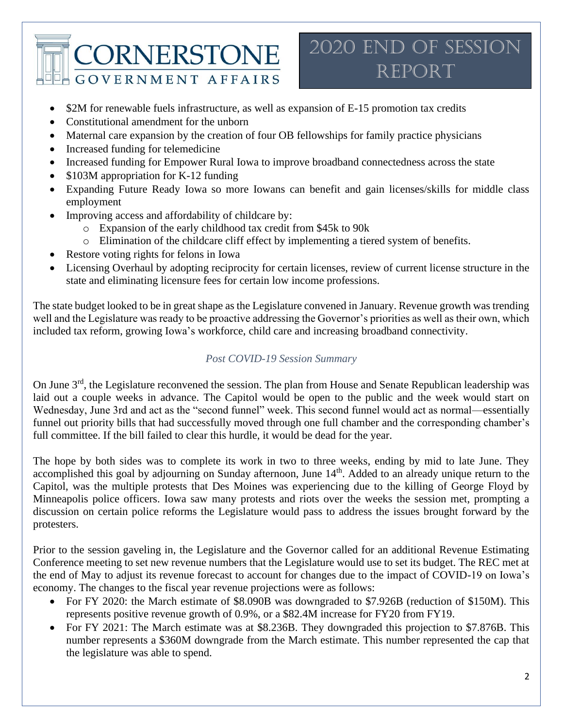2020 End of Session **REPORT** 

- \$2M for renewable fuels infrastructure, as well as expansion of E-15 promotion tax credits
- Constitutional amendment for the unborn
- Maternal care expansion by the creation of four OB fellowships for family practice physicians
- Increased funding for telemedicine
- Increased funding for Empower Rural Iowa to improve broadband connectedness across the state
- \$103M appropriation for K-12 funding
- Expanding Future Ready Iowa so more Iowans can benefit and gain licenses/skills for middle class employment
- Improving access and affordability of childcare by:
	- o Expansion of the early childhood tax credit from \$45k to 90k
	- o Elimination of the childcare cliff effect by implementing a tiered system of benefits.
- Restore voting rights for felons in Iowa
- Licensing Overhaul by adopting reciprocity for certain licenses, review of current license structure in the state and eliminating licensure fees for certain low income professions.

The state budget looked to be in great shape as the Legislature convened in January. Revenue growth was trending well and the Legislature was ready to be proactive addressing the Governor's priorities as well as their own, which included tax reform, growing Iowa's workforce, child care and increasing broadband connectivity.

#### *Post COVID-19 Session Summary*

On June 3<sup>rd</sup>, the Legislature reconvened the session. The plan from House and Senate Republican leadership was laid out a couple weeks in advance. The Capitol would be open to the public and the week would start on Wednesday, June 3rd and act as the "second funnel" week. This second funnel would act as normal—essentially funnel out priority bills that had successfully moved through one full chamber and the corresponding chamber's full committee. If the bill failed to clear this hurdle, it would be dead for the year.

The hope by both sides was to complete its work in two to three weeks, ending by mid to late June. They accomplished this goal by adjourning on Sunday afternoon, June 14<sup>th</sup>. Added to an already unique return to the Capitol, was the multiple protests that Des Moines was experiencing due to the killing of George Floyd by Minneapolis police officers. Iowa saw many protests and riots over the weeks the session met, prompting a discussion on certain police reforms the Legislature would pass to address the issues brought forward by the protesters.

Prior to the session gaveling in, the Legislature and the Governor called for an additional Revenue Estimating Conference meeting to set new revenue numbers that the Legislature would use to set its budget. The REC met at the end of May to adjust its revenue forecast to account for changes due to the impact of COVID-19 on Iowa's economy. The changes to the fiscal year revenue projections were as follows:

- For FY 2020: the March estimate of \$8.090B was downgraded to \$7.926B (reduction of \$150M). This represents positive revenue growth of 0.9%, or a \$82.4M increase for FY20 from FY19.
- For FY 2021: The March estimate was at \$8.236B. They downgraded this projection to \$7.876B. This number represents a \$360M downgrade from the March estimate. This number represented the cap that the legislature was able to spend.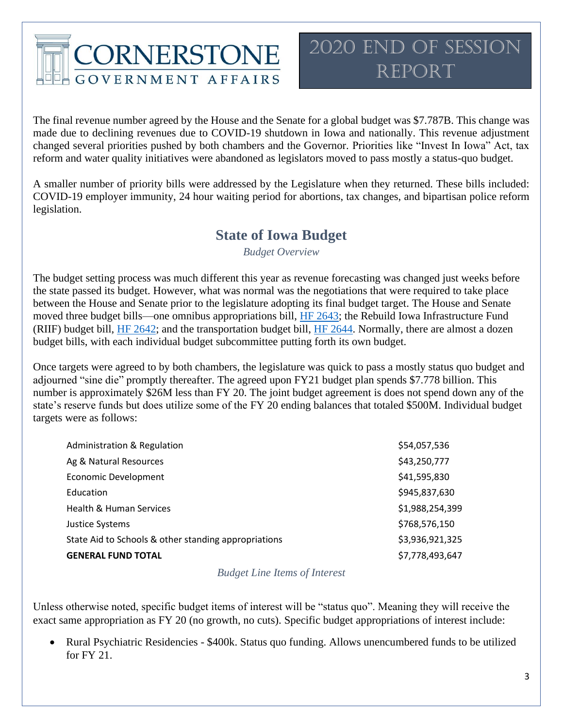The final revenue number agreed by the House and the Senate for a global budget was \$7.787B. This change was made due to declining revenues due to COVID-19 shutdown in Iowa and nationally. This revenue adjustment changed several priorities pushed by both chambers and the Governor. Priorities like "Invest In Iowa" Act, tax reform and water quality initiatives were abandoned as legislators moved to pass mostly a status-quo budget.

A smaller number of priority bills were addressed by the Legislature when they returned. These bills included: COVID-19 employer immunity, 24 hour waiting period for abortions, tax changes, and bipartisan police reform legislation.

### **State of Iowa Budget**

*Budget Overview*

The budget setting process was much different this year as revenue forecasting was changed just weeks before the state passed its budget. However, what was normal was the negotiations that were required to take place between the House and Senate prior to the legislature adopting its final budget target. The House and Senate moved three budget bills—one omnibus appropriations bill, [HF 2643;](https://www.legis.iowa.gov/legislation/BillBook?ga=88&ba=hf2643) the Rebuild Iowa Infrastructure Fund (RIIF) budget bill, [HF 2642;](https://www.legis.iowa.gov/legislation/BillBook?ga=88&ba=HF%202642&v=r) and the transportation budget bill, [HF 2644.](https://www.legis.iowa.gov/legislation/BillBook?ga=88&ba=hf2644) Normally, there are almost a dozen budget bills, with each individual budget subcommittee putting forth its own budget.

Once targets were agreed to by both chambers, the legislature was quick to pass a mostly status quo budget and adjourned "sine die" promptly thereafter. The agreed upon FY21 budget plan spends \$7.778 billion. This number is approximately \$26M less than FY 20. The joint budget agreement is does not spend down any of the state's reserve funds but does utilize some of the FY 20 ending balances that totaled \$500M. Individual budget targets were as follows:

| Administration & Regulation                          | \$54,057,536    |
|------------------------------------------------------|-----------------|
| Ag & Natural Resources                               | \$43,250,777    |
| <b>Economic Development</b>                          | \$41,595,830    |
| Education                                            | \$945,837,630   |
| Health & Human Services                              | \$1,988,254,399 |
| Justice Systems                                      | \$768,576,150   |
| State Aid to Schools & other standing appropriations | \$3,936,921,325 |
| <b>GENERAL FUND TOTAL</b>                            | \$7,778,493,647 |

*Budget Line Items of Interest*

Unless otherwise noted, specific budget items of interest will be "status quo". Meaning they will receive the exact same appropriation as FY 20 (no growth, no cuts). Specific budget appropriations of interest include:

• Rural Psychiatric Residencies - \$400k. Status quo funding. Allows unencumbered funds to be utilized for FY 21.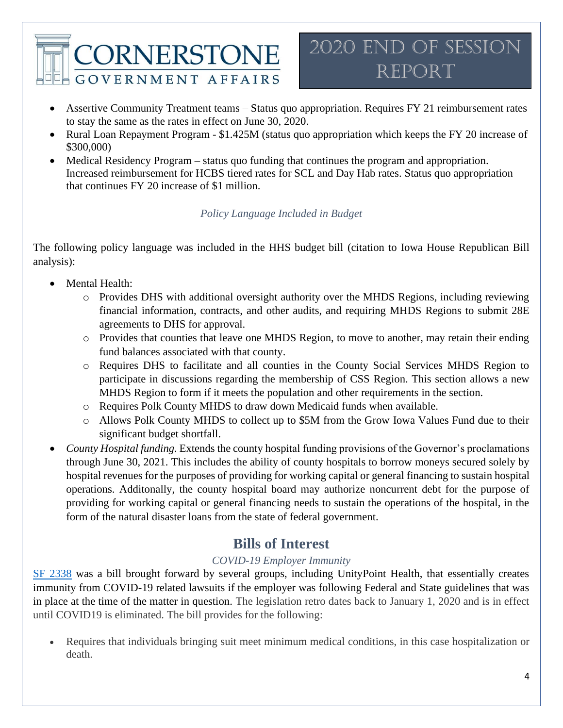- Assertive Community Treatment teams Status quo appropriation. Requires FY 21 reimbursement rates to stay the same as the rates in effect on June 30, 2020.
- Rural Loan Repayment Program \$1.425M (status quo appropriation which keeps the FY 20 increase of \$300,000)
- Medical Residency Program status quo funding that continues the program and appropriation. Increased reimbursement for HCBS tiered rates for SCL and Day Hab rates. Status quo appropriation that continues FY 20 increase of \$1 million.

#### *Policy Language Included in Budget*

The following policy language was included in the HHS budget bill (citation to Iowa House Republican Bill analysis):

- Mental Health:
	- o Provides DHS with additional oversight authority over the MHDS Regions, including reviewing financial information, contracts, and other audits, and requiring MHDS Regions to submit 28E agreements to DHS for approval.
	- o Provides that counties that leave one MHDS Region, to move to another, may retain their ending fund balances associated with that county.
	- o Requires DHS to facilitate and all counties in the County Social Services MHDS Region to participate in discussions regarding the membership of CSS Region. This section allows a new MHDS Region to form if it meets the population and other requirements in the section.
	- o Requires Polk County MHDS to draw down Medicaid funds when available.
	- o Allows Polk County MHDS to collect up to \$5M from the Grow Iowa Values Fund due to their significant budget shortfall.
- *County Hospital funding.* Extends the county hospital funding provisions of the Governor's proclamations through June 30, 2021. This includes the ability of county hospitals to borrow moneys secured solely by hospital revenues for the purposes of providing for working capital or general financing to sustain hospital operations. Additonally, the county hospital board may authorize noncurrent debt for the purpose of providing for working capital or general financing needs to sustain the operations of the hospital, in the form of the natural disaster loans from the state of federal government.

### **Bills of Interest**

#### *COVID-19 Employer Immunity*

[SF 2338](https://www.legis.iowa.gov/legislation/BillBook?ga=88&ba=sf2338) was a bill brought forward by several groups, including UnityPoint Health, that essentially creates immunity from COVID-19 related lawsuits if the employer was following Federal and State guidelines that was in place at the time of the matter in question. The legislation retro dates back to January 1, 2020 and is in effect until COVID19 is eliminated. The bill provides for the following:

• Requires that individuals bringing suit meet minimum medical conditions, in this case hospitalization or death.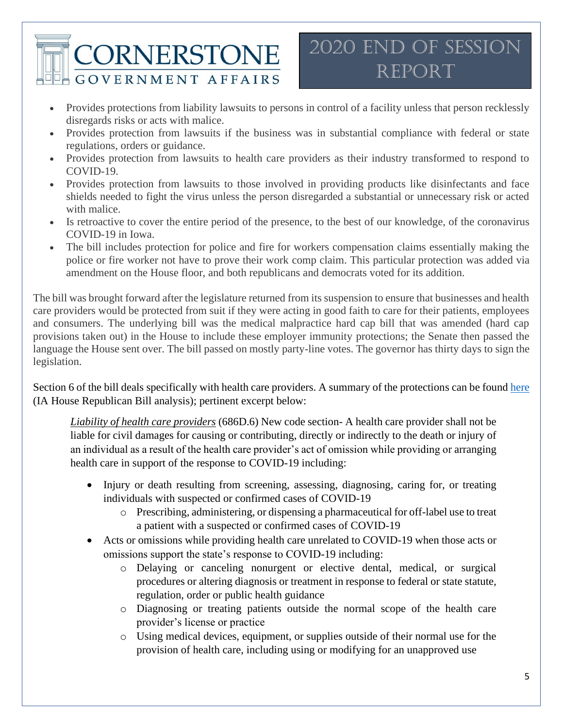### 2020 End of Session Report

- Provides protections from liability lawsuits to persons in control of a facility unless that person recklessly disregards risks or acts with malice.
- Provides protection from lawsuits if the business was in substantial compliance with federal or state regulations, orders or guidance.
- Provides protection from lawsuits to health care providers as their industry transformed to respond to COVID-19.
- Provides protection from lawsuits to those involved in providing products like disinfectants and face shields needed to fight the virus unless the person disregarded a substantial or unnecessary risk or acted with malice.
- Is retroactive to cover the entire period of the presence, to the best of our knowledge, of the coronavirus COVID-19 in Iowa.
- The bill includes protection for police and fire for workers compensation claims essentially making the police or fire worker not have to prove their work comp claim. This particular protection was added via amendment on the House floor, and both republicans and democrats voted for its addition.

The bill was brought forward after the legislature returned from its suspension to ensure that businesses and health care providers would be protected from suit if they were acting in good faith to care for their patients, employees and consumers. The underlying bill was the medical malpractice hard cap bill that was amended (hard cap provisions taken out) in the House to include these employer immunity protections; the Senate then passed the language the House sent over. The bill passed on mostly party-line votes. The governor has thirty days to sign the legislation.

Section 6 of the bill deals specifically with health care providers. A summary of the protections can be found [here](http://www.iowahouserepublicans.com/wp-content/uploads/SF2338-MedMal-COVID-Liability.pdf) (IA House Republican Bill analysis); pertinent excerpt below:

*Liability of health care providers* (686D.6) New code section- A health care provider shall not be liable for civil damages for causing or contributing, directly or indirectly to the death or injury of an individual as a result of the health care provider's act of omission while providing or arranging health care in support of the response to COVID-19 including:

- Injury or death resulting from screening, assessing, diagnosing, caring for, or treating individuals with suspected or confirmed cases of COVID-19
	- o Prescribing, administering, or dispensing a pharmaceutical for off-label use to treat a patient with a suspected or confirmed cases of COVID-19
- Acts or omissions while providing health care unrelated to COVID-19 when those acts or omissions support the state's response to COVID-19 including:
	- o Delaying or canceling nonurgent or elective dental, medical, or surgical procedures or altering diagnosis or treatment in response to federal or state statute, regulation, order or public health guidance
	- o Diagnosing or treating patients outside the normal scope of the health care provider's license or practice
	- o Using medical devices, equipment, or supplies outside of their normal use for the provision of health care, including using or modifying for an unapproved use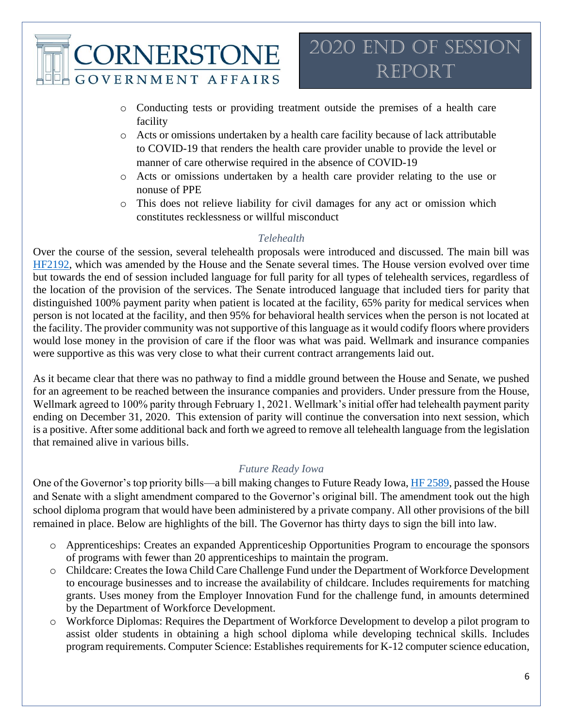- o Conducting tests or providing treatment outside the premises of a health care facility
- o Acts or omissions undertaken by a health care facility because of lack attributable to COVID-19 that renders the health care provider unable to provide the level or manner of care otherwise required in the absence of COVID-19
- o Acts or omissions undertaken by a health care provider relating to the use or nonuse of PPE
- o This does not relieve liability for civil damages for any act or omission which constitutes recklessness or willful misconduct

#### *Telehealth*

Over the course of the session, several telehealth proposals were introduced and discussed. The main bill was [HF2192,](https://www.legis.iowa.gov/legislation/BillBook?ga=88&ba=hf2192) which was amended by the House and the Senate several times. The House version evolved over time but towards the end of session included language for full parity for all types of telehealth services, regardless of the location of the provision of the services. The Senate introduced language that included tiers for parity that distinguished 100% payment parity when patient is located at the facility, 65% parity for medical services when person is not located at the facility, and then 95% for behavioral health services when the person is not located at the facility. The provider community was not supportive of this language as it would codify floors where providers would lose money in the provision of care if the floor was what was paid. Wellmark and insurance companies were supportive as this was very close to what their current contract arrangements laid out.

As it became clear that there was no pathway to find a middle ground between the House and Senate, we pushed for an agreement to be reached between the insurance companies and providers. Under pressure from the House, Wellmark agreed to 100% parity through February 1, 2021. Wellmark's initial offer had telehealth payment parity ending on December 31, 2020. This extension of parity will continue the conversation into next session, which is a positive. After some additional back and forth we agreed to remove all telehealth language from the legislation that remained alive in various bills.

#### *Future Ready Iowa*

One of the Governor's top priority bills—a bill making changes to Future Ready Iowa, [HF 2589,](https://www.legis.iowa.gov/legislation/BillBook?ga=88&ba=hf2589) passed the House and Senate with a slight amendment compared to the Governor's original bill. The amendment took out the high school diploma program that would have been administered by a private company. All other provisions of the bill remained in place. Below are highlights of the bill. The Governor has thirty days to sign the bill into law.

- o Apprenticeships: Creates an expanded Apprenticeship Opportunities Program to encourage the sponsors of programs with fewer than 20 apprenticeships to maintain the program.
- o Childcare: Creates the Iowa Child Care Challenge Fund under the Department of Workforce Development to encourage businesses and to increase the availability of childcare. Includes requirements for matching grants. Uses money from the Employer Innovation Fund for the challenge fund, in amounts determined by the Department of Workforce Development.
- o Workforce Diplomas: Requires the Department of Workforce Development to develop a pilot program to assist older students in obtaining a high school diploma while developing technical skills. Includes program requirements. Computer Science: Establishes requirements for K-12 computer science education,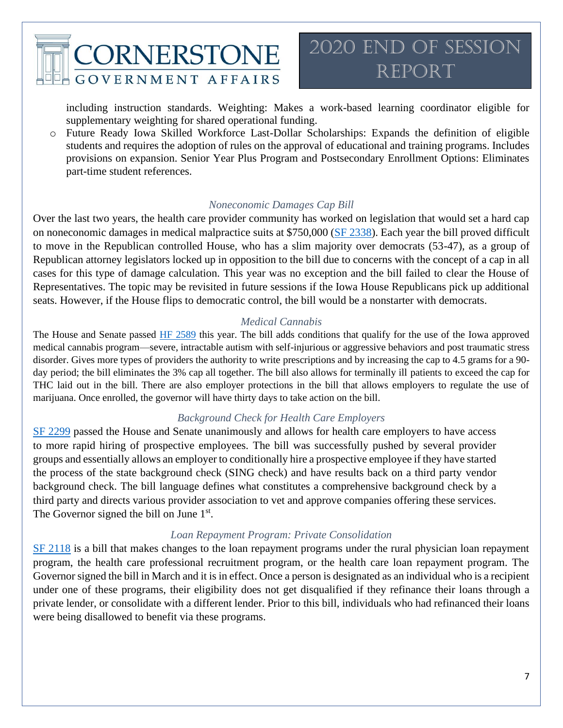

including instruction standards. Weighting: Makes a work-based learning coordinator eligible for supplementary weighting for shared operational funding.

o Future Ready Iowa Skilled Workforce Last-Dollar Scholarships: Expands the definition of eligible students and requires the adoption of rules on the approval of educational and training programs. Includes provisions on expansion. Senior Year Plus Program and Postsecondary Enrollment Options: Eliminates part-time student references.

#### *Noneconomic Damages Cap Bill*

Over the last two years, the health care provider community has worked on legislation that would set a hard cap on noneconomic damages in medical malpractice suits at \$750,000 [\(SF 2338\)](https://www.legis.iowa.gov/legislation/BillBook?ga=88&ba=sf2338). Each year the bill proved difficult to move in the Republican controlled House, who has a slim majority over democrats (53-47), as a group of Republican attorney legislators locked up in opposition to the bill due to concerns with the concept of a cap in all cases for this type of damage calculation. This year was no exception and the bill failed to clear the House of Representatives. The topic may be revisited in future sessions if the Iowa House Republicans pick up additional seats. However, if the House flips to democratic control, the bill would be a nonstarter with democrats.

#### *Medical Cannabis*

The House and Senate passed [HF 2589](https://www.legis.iowa.gov/legislation/BillBook?ba=HF2589&ga=88) this year. The bill adds conditions that qualify for the use of the Iowa approved medical cannabis program—severe, intractable autism with self-injurious or aggressive behaviors and post traumatic stress disorder. Gives more types of providers the authority to write prescriptions and by increasing the cap to 4.5 grams for a 90 day period; the bill eliminates the 3% cap all together. The bill also allows for terminally ill patients to exceed the cap for THC laid out in the bill. There are also employer protections in the bill that allows employers to regulate the use of marijuana. Once enrolled, the governor will have thirty days to take action on the bill.

#### *Background Check for Health Care Employers*

[SF 2299](https://www.legis.iowa.gov/legislation/BillBook?ga=88&ba=SF%202299) passed the House and Senate unanimously and allows for health care employers to have access to more rapid hiring of prospective employees. The bill was successfully pushed by several provider groups and essentially allows an employer to conditionally hire a prospective employee if they have started the process of the state background check (SING check) and have results back on a third party vendor background check. The bill language defines what constitutes a comprehensive background check by a third party and directs various provider association to vet and approve companies offering these services. The Governor signed the bill on June  $1<sup>st</sup>$ .

#### *Loan Repayment Program: Private Consolidation*

[SF 2118](https://www.legis.iowa.gov/legislation/BillBook?ga=88&ba=SF%202118&v=e) is a bill that makes changes to the loan repayment programs under the rural physician loan repayment program, the health care professional recruitment program, or the health care loan repayment program. The Governor signed the bill in March and it is in effect. Once a person is designated as an individual who is a recipient under one of these programs, their eligibility does not get disqualified if they refinance their loans through a private lender, or consolidate with a different lender. Prior to this bill, individuals who had refinanced their loans were being disallowed to benefit via these programs.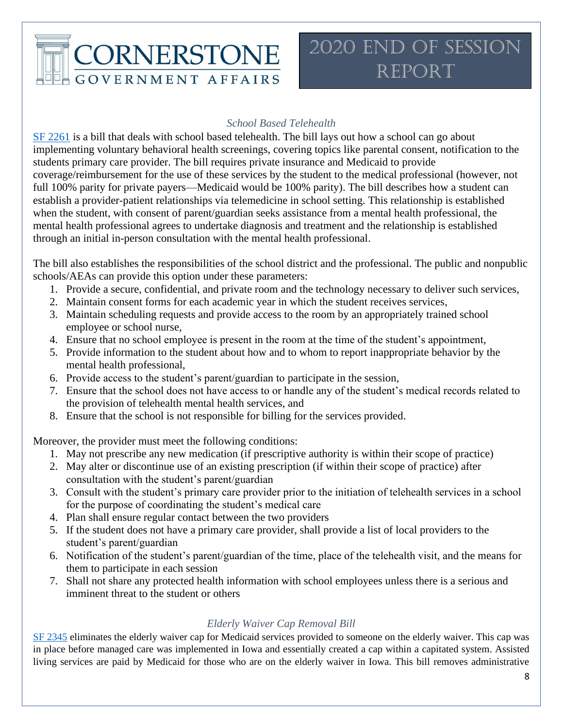#### *School Based Telehealth*

[SF 2261](https://www.legis.iowa.gov/legislation/BillBook?ga=88&ba=sf2261) is a bill that deals with school based telehealth. The bill lays out how a school can go about implementing voluntary behavioral health screenings, covering topics like parental consent, notification to the students primary care provider. The bill requires private insurance and Medicaid to provide coverage/reimbursement for the use of these services by the student to the medical professional (however, not full 100% parity for private payers—Medicaid would be 100% parity). The bill describes how a student can establish a provider-patient relationships via telemedicine in school setting. This relationship is established when the student, with consent of parent/guardian seeks assistance from a mental health professional, the mental health professional agrees to undertake diagnosis and treatment and the relationship is established through an initial in-person consultation with the mental health professional.

The bill also establishes the responsibilities of the school district and the professional. The public and nonpublic schools/AEAs can provide this option under these parameters:

- 1. Provide a secure, confidential, and private room and the technology necessary to deliver such services,
- 2. Maintain consent forms for each academic year in which the student receives services,
- 3. Maintain scheduling requests and provide access to the room by an appropriately trained school employee or school nurse,
- 4. Ensure that no school employee is present in the room at the time of the student's appointment,
- 5. Provide information to the student about how and to whom to report inappropriate behavior by the mental health professional,
- 6. Provide access to the student's parent/guardian to participate in the session,
- 7. Ensure that the school does not have access to or handle any of the student's medical records related to the provision of telehealth mental health services, and
- 8. Ensure that the school is not responsible for billing for the services provided.

Moreover, the provider must meet the following conditions:

- 1. May not prescribe any new medication (if prescriptive authority is within their scope of practice)
- 2. May alter or discontinue use of an existing prescription (if within their scope of practice) after consultation with the student's parent/guardian
- 3. Consult with the student's primary care provider prior to the initiation of telehealth services in a school for the purpose of coordinating the student's medical care
- 4. Plan shall ensure regular contact between the two providers
- 5. If the student does not have a primary care provider, shall provide a list of local providers to the student's parent/guardian
- 6. Notification of the student's parent/guardian of the time, place of the telehealth visit, and the means for them to participate in each session
- 7. Shall not share any protected health information with school employees unless there is a serious and imminent threat to the student or others

#### *Elderly Waiver Cap Removal Bill*

[SF 2345](https://www.legis.iowa.gov/legislation/BillBook?ga=88&ba=sf2345) eliminates the elderly waiver cap for Medicaid services provided to someone on the elderly waiver. This cap was in place before managed care was implemented in Iowa and essentially created a cap within a capitated system. Assisted living services are paid by Medicaid for those who are on the elderly waiver in Iowa. This bill removes administrative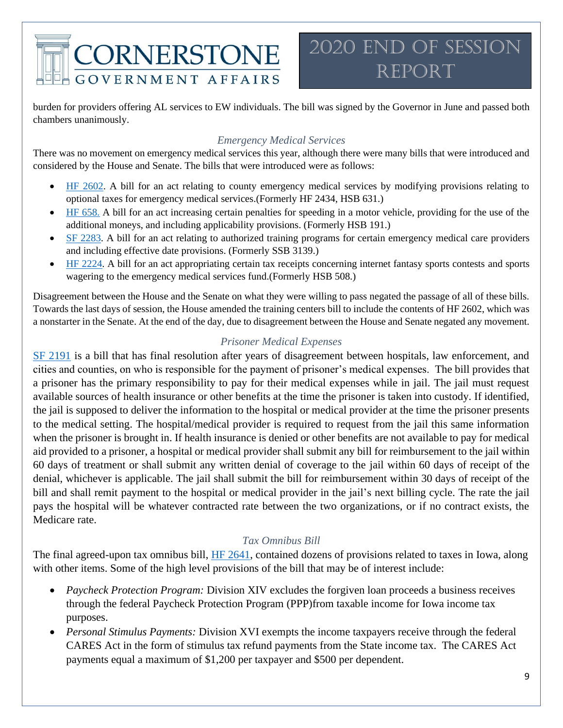### 2020 End of Session Report

burden for providers offering AL services to EW individuals. The bill was signed by the Governor in June and passed both chambers unanimously.

#### *Emergency Medical Services*

There was no movement on emergency medical services this year, although there were many bills that were introduced and considered by the House and Senate. The bills that were introduced were as follows:

- [HF 2602.](https://www.legis.iowa.gov/legislation/BillBook?ga=88&ba=hf2602) A bill for an act relating to county emergency medical services by modifying provisions relating to optional taxes for emergency medical services.(Formerly HF 2434, HSB 631.)
- [HF 658.](https://www.legis.iowa.gov/legislation/BillBook?ga=88&ba=hf658) A bill for an act increasing certain penalties for speeding in a motor vehicle, providing for the use of the additional moneys, and including applicability provisions. (Formerly HSB 191.)
- [SF 2283.](https://www.legis.iowa.gov/legislation/BillBook?ga=88&ba=sf2283) A bill for an act relating to authorized training programs for certain emergency medical care providers and including effective date provisions. (Formerly SSB 3139.)
- [HF 2224.](https://www.legis.iowa.gov/legislation/BillBook?ga=88&ba=hf2224) A bill for an act appropriating certain tax receipts concerning internet fantasy sports contests and sports wagering to the emergency medical services fund.(Formerly HSB 508.)

Disagreement between the House and the Senate on what they were willing to pass negated the passage of all of these bills. Towards the last days of session, the House amended the training centers bill to include the contents of HF 2602, which was a nonstarter in the Senate. At the end of the day, due to disagreement between the House and Senate negated any movement.

#### *Prisoner Medical Expenses*

[SF 2191](https://www.legis.iowa.gov/legislation/BillBook?ga=88&ba=sf2191) is a bill that has final resolution after years of disagreement between hospitals, law enforcement, and cities and counties, on who is responsible for the payment of prisoner's medical expenses. The bill provides that a prisoner has the primary responsibility to pay for their medical expenses while in jail. The jail must request available sources of health insurance or other benefits at the time the prisoner is taken into custody. If identified, the jail is supposed to deliver the information to the hospital or medical provider at the time the prisoner presents to the medical setting. The hospital/medical provider is required to request from the jail this same information when the prisoner is brought in. If health insurance is denied or other benefits are not available to pay for medical aid provided to a prisoner, a hospital or medical provider shall submit any bill for reimbursement to the jail within 60 days of treatment or shall submit any written denial of coverage to the jail within 60 days of receipt of the denial, whichever is applicable. The jail shall submit the bill for reimbursement within 30 days of receipt of the bill and shall remit payment to the hospital or medical provider in the jail's next billing cycle. The rate the jail pays the hospital will be whatever contracted rate between the two organizations, or if no contract exists, the Medicare rate.

#### *Tax Omnibus Bill*

The final agreed-upon tax omnibus bill, [HF 2641,](https://www.legis.iowa.gov/legislation/BillBook?ga=88&ba=HF2641) contained dozens of provisions related to taxes in Iowa, along with other items. Some of the high level provisions of the bill that may be of interest include:

- *Paycheck Protection Program:* Division XIV excludes the forgiven loan proceeds a business receives through the federal Paycheck Protection Program (PPP)from taxable income for Iowa income tax purposes.
- *Personal Stimulus Payments:* Division XVI exempts the income taxpayers receive through the federal CARES Act in the form of stimulus tax refund payments from the State income tax. The CARES Act payments equal a maximum of \$1,200 per taxpayer and \$500 per dependent.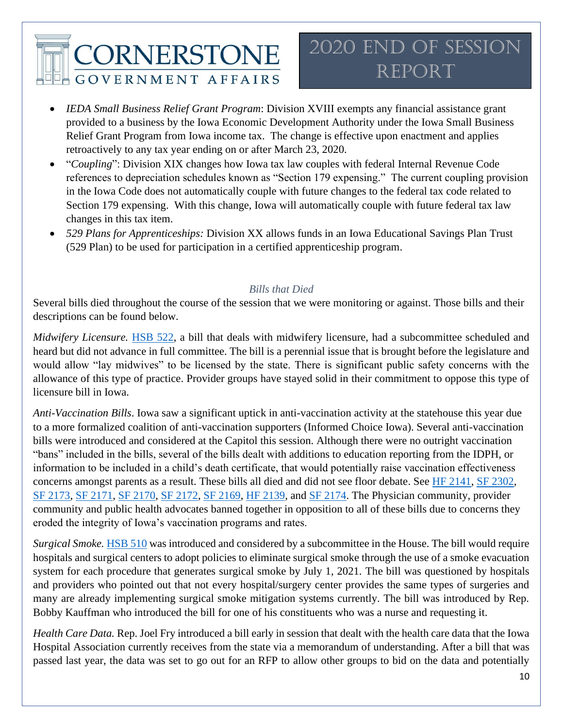## 2020 End of Session Report

- *IEDA Small Business Relief Grant Program*: Division XVIII exempts any financial assistance grant provided to a business by the Iowa Economic Development Authority under the Iowa Small Business Relief Grant Program from Iowa income tax. The change is effective upon enactment and applies retroactively to any tax year ending on or after March 23, 2020.
- "*Coupling*": Division XIX changes how Iowa tax law couples with federal Internal Revenue Code references to depreciation schedules known as "Section 179 expensing." The current coupling provision in the Iowa Code does not automatically couple with future changes to the federal tax code related to Section 179 expensing. With this change, Iowa will automatically couple with future federal tax law changes in this tax item.
- *529 Plans for Apprenticeships:* Division XX allows funds in an Iowa Educational Savings Plan Trust (529 Plan) to be used for participation in a certified apprenticeship program.

#### *Bills that Died*

Several bills died throughout the course of the session that we were monitoring or against. Those bills and their descriptions can be found below.

*Midwifery Licensure.* [HSB 522,](https://www.legis.iowa.gov/legislation/BillBook?ga=88&ba=hsb522) a bill that deals with midwifery licensure, had a subcommittee scheduled and heard but did not advance in full committee. The bill is a perennial issue that is brought before the legislature and would allow "lay midwives" to be licensed by the state. There is significant public safety concerns with the allowance of this type of practice. Provider groups have stayed solid in their commitment to oppose this type of licensure bill in Iowa.

*Anti-Vaccination Bills*. Iowa saw a significant uptick in anti-vaccination activity at the statehouse this year due to a more formalized coalition of anti-vaccination supporters (Informed Choice Iowa). Several anti-vaccination bills were introduced and considered at the Capitol this session. Although there were no outright vaccination "bans" included in the bills, several of the bills dealt with additions to education reporting from the IDPH, or information to be included in a child's death certificate, that would potentially raise vaccination effectiveness concerns amongst parents as a result. These bills all died and did not see floor debate. See [HF 2141,](https://www.legis.iowa.gov/legislation/BillBook?ga=88&ba=sf2141) [SF 2302,](https://www.legis.iowa.gov/legislation/BillBook?ga=88&ba=sf2302) [SF 2173,](https://www.legis.iowa.gov/legislation/BillBook?ga=88&ba=sf2173) [SF 2171,](https://www.legis.iowa.gov/legislation/BillBook?ga=88&ba=sf2171) [SF 2170,](https://www.legis.iowa.gov/legislation/BillBook?ga=88&ba=sf2170) [SF 2172,](https://www.legis.iowa.gov/legislation/BillBook?ga=88&ba=SF%202172) [SF 2169,](https://www.legis.iowa.gov/legislation/BillBook?ga=88&ba=sf2169) [HF 2139,](https://www.legis.iowa.gov/legislation/BillBook?ga=88&ba=hf2139) and [SF 2174.](https://www.legis.iowa.gov/legislation/BillBook?ga=88&ba=sf2174) The Physician community, provider community and public health advocates banned together in opposition to all of these bills due to concerns they eroded the integrity of Iowa's vaccination programs and rates.

*Surgical Smoke.* [HSB 510](https://www.legis.iowa.gov/legislation/BillBook?ga=88&ba=hsb510) was introduced and considered by a subcommittee in the House. The bill would require hospitals and surgical centers to adopt policies to eliminate surgical smoke through the use of a smoke evacuation system for each procedure that generates surgical smoke by July 1, 2021. The bill was questioned by hospitals and providers who pointed out that not every hospital/surgery center provides the same types of surgeries and many are already implementing surgical smoke mitigation systems currently. The bill was introduced by Rep. Bobby Kauffman who introduced the bill for one of his constituents who was a nurse and requesting it.

*Health Care Data.* Rep. Joel Fry introduced a bill early in session that dealt with the health care data that the Iowa Hospital Association currently receives from the state via a memorandum of understanding. After a bill that was passed last year, the data was set to go out for an RFP to allow other groups to bid on the data and potentially